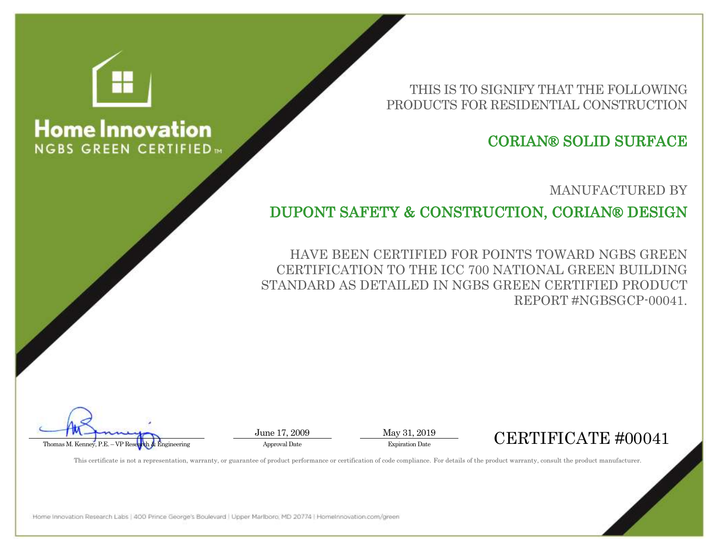THIS IS TO SIGNIFY THAT THE FOLLOWING PRODUCTS FOR RESIDENTIAL CONSTRUCTION

## CORIAN® SOLID SURFACE

MANUFACTURED BY

DUPONT SAFETY & CONSTRUCTION, CORIAN® DESIGN

HAVE BEEN CERTIFIED FOR POINTS TOWARD NGBS GREEN CERTIFICATION TO THE ICC 700 NATIONAL GREEN BUILDING STANDARD AS DETAILED IN NGBS GREEN CERTIFIED PRODUCT REPORT #NGBSGCP-00041.

June 17, 2009 May 31, 2019

## Thomas M. Kenney, P.E. – VP Research & Engineering Approval Date Approval Date Expiration Date Expiration Date Expiration Date Expiration Date Expiration Date Expiration Date Expiration Date Expiration Date Expiration Dat

This certificate is not a representation, warranty, or guarantee of product performance or certification of code compliance. For details of the product warranty, consult the product manufacturer.

Home Innovation Research Labs | 400 Prince George's Boulevard | Upper Marlboro, MD 20774 | Homelnnovation.com/green



## **Home Innovation NGBS GREEN CERTIFIED**